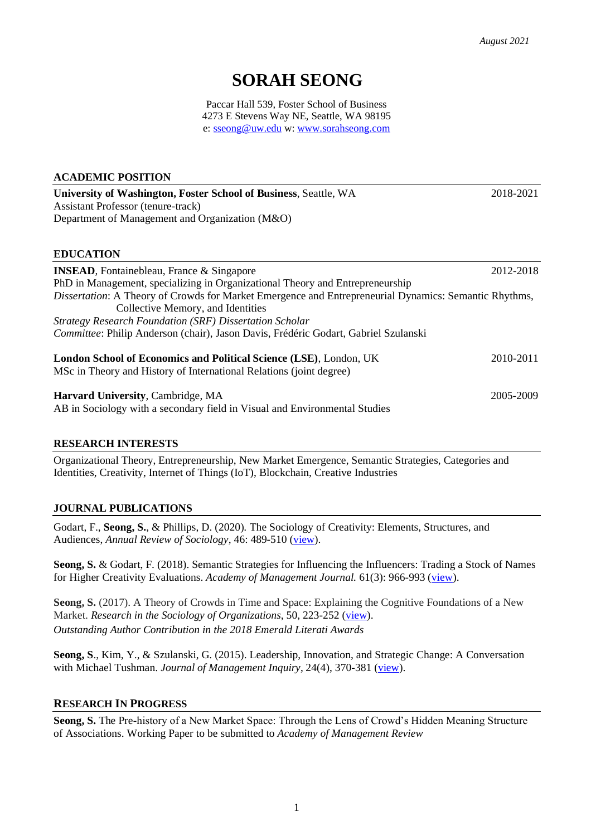# **SORAH SEONG**

Paccar Hall 539, Foster School of Business 4273 E Stevens Way NE, Seattle, WA 98195 e: [sseong@uw.edu](mailto:sseong@uw.edu) w: [www.sorahseong.com](http://www.sorahseong.com/)

#### **ACADEMIC POSITION**

**University of Washington, Foster School of Business**, Seattle, WA2018-2021 Assistant Professor (tenure-track) Department of Management and Organization (M&O)

#### **EDUCATION**

| <b>INSEAD, Fontainebleau, France &amp; Singapore</b>                                                                                      | 2012-2018 |
|-------------------------------------------------------------------------------------------------------------------------------------------|-----------|
| PhD in Management, specializing in Organizational Theory and Entrepreneurship                                                             |           |
| Dissertation: A Theory of Crowds for Market Emergence and Entrepreneurial Dynamics: Semantic Rhythms,                                     |           |
| Collective Memory, and Identities                                                                                                         |           |
| Strategy Research Foundation (SRF) Dissertation Scholar                                                                                   |           |
| Committee: Philip Anderson (chair), Jason Davis, Frédéric Godart, Gabriel Szulanski                                                       |           |
| London School of Economics and Political Science (LSE), London, UK<br>MSc in Theory and History of International Relations (joint degree) | 2010-2011 |
| Harvard University, Cambridge, MA<br>AB in Sociology with a secondary field in Visual and Environmental Studies                           | 2005-2009 |

#### **RESEARCH INTERESTS**

Organizational Theory, Entrepreneurship, New Market Emergence, Semantic Strategies, Categories and Identities, Creativity, Internet of Things (IoT), Blockchain, Creative Industries

## **JOURNAL PUBLICATIONS**

Godart, F., **Seong, S.**, & Phillips, D. (2020)*.* The Sociology of Creativity: Elements, Structures, and Audiences, *Annual Review of Sociology*, 46: 489-510 [\(view\)](https://www.annualreviews.org/doi/10.1146/annurev-soc-121919-054833).

**Seong, S.** & Godart, F. (2018). Semantic Strategies for Influencing the Influencers: Trading a Stock of Names for Higher Creativity Evaluations. *Academy of Management Journal.* 61(3): 966-993 [\(view\)](https://journals.aom.org/doi/10.5465/amj.2015.1354).

**Seong, S.** (2017). A Theory of Crowds in Time and Space: Explaining the Cognitive Foundations of a New Market. *Research in the Sociology of Organizations*, 50, 223-252 [\(view\)](https://www.emeraldinsight.com/doi/full/10.1108/S0733-558X20170000050007). *Outstanding Author Contribution in the 2018 Emerald Literati Awards* 

**Seong, S**., Kim, Y., & Szulanski, G. (2015). Leadership, Innovation, and Strategic Change: A Conversation with Michael Tushman. *Journal of Management Inquiry*, 24(4), 370-381 [\(view\)](http://journals.sagepub.com/doi/abs/10.1177/1056492615572385?journalCode=jmia).

#### **RESEARCH IN PROGRESS**

**Seong, S.** The Pre-history of a New Market Space: Through the Lens of Crowd's Hidden Meaning Structure of Associations. Working Paper to be submitted to *Academy of Management Review*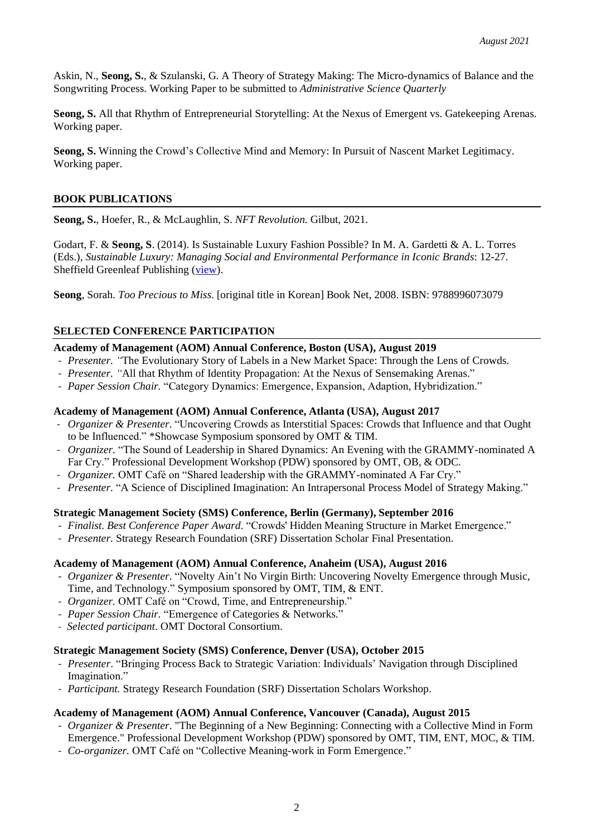Askin, N., **Seong, S.**, & Szulanski, G. A Theory of Strategy Making: The Micro-dynamics of Balance and the Songwriting Process. Working Paper to be submitted to *Administrative Science Quarterly*

**Seong, S.** All that Rhythm of Entrepreneurial Storytelling: At the Nexus of Emergent vs. Gatekeeping Arenas. Working paper.

**Seong, S.** Winning the Crowd's Collective Mind and Memory: In Pursuit of Nascent Market Legitimacy. Working paper.

## **BOOK PUBLICATIONS**

**Seong, S.**, Hoefer, R., & McLaughlin, S. *NFT Revolution.* Gilbut, 2021.

Godart, F. & **Seong, S**. (2014). Is Sustainable Luxury Fashion Possible? In M. A. Gardetti & A. L. Torres (Eds.), *Sustainable Luxury: Managing Social and Environmental Performance in Iconic Brands*: 12-27. Sheffield Greenleaf Publishing [\(view\)](https://www.researchgate.net/publication/269221324_Is_sustainable_luxury_fashion_possible).

**Seong**, Sorah. *Too Precious to Miss*. [original title in Korean] Book Net, 2008. ISBN: 9788996073079

# **SELECTED CONFERENCE PARTICIPATION**

## **Academy of Management (AOM) Annual Conference, Boston (USA), August 2019**

- *Presenter. "*The Evolutionary Story of Labels in a New Market Space: Through the Lens of Crowds.
- *Presenter. "*All that Rhythm of Identity Propagation: At the Nexus of Sensemaking Arenas."
- *Paper Session Chair.* "Category Dynamics: Emergence, Expansion, Adaption, Hybridization."

## **Academy of Management (AOM) Annual Conference, Atlanta (USA), August 2017**

- *Organizer & Presenter*. "Uncovering Crowds as Interstitial Spaces: Crowds that Influence and that Ought to be Influenced." \*Showcase Symposium sponsored by OMT & TIM.
- *Organizer.* "The Sound of Leadership in Shared Dynamics: An Evening with the GRAMMY-nominated A Far Cry." Professional Development Workshop (PDW) sponsored by OMT, OB, & ODC.
- *Organizer.* OMT Café on "Shared leadership with the GRAMMY-nominated A Far Cry."
- *Presenter.* "A Science of Disciplined Imagination: An Intrapersonal Process Model of Strategy Making."

# **Strategic Management Society (SMS) Conference, Berlin (Germany), September 2016**

- *Finalist*. *Best Conference Paper Award*. "Crowds' Hidden Meaning Structure in Market Emergence."
- *Presenter.* Strategy Research Foundation (SRF) Dissertation Scholar Final Presentation.

#### **Academy of Management (AOM) Annual Conference, Anaheim (USA), August 2016**

- *Organizer & Presenter*. "Novelty Ain't No Virgin Birth: Uncovering Novelty Emergence through Music, Time, and Technology." Symposium sponsored by OMT, TIM, & ENT.
- *Organizer.* OMT Café on "Crowd, Time, and Entrepreneurship."
- *Paper Session Chair.* "Emergence of Categories & Networks."
- *Selected participant*. OMT Doctoral Consortium.

#### **Strategic Management Society (SMS) Conference, Denver (USA), October 2015**

- *Presenter*. "Bringing Process Back to Strategic Variation: Individuals' Navigation through Disciplined Imagination."
- *Participant.* Strategy Research Foundation (SRF) Dissertation Scholars Workshop.

#### **Academy of Management (AOM) Annual Conference, Vancouver (Canada), August 2015**

- *Organizer & Presenter*. "The Beginning of a New Beginning: Connecting with a Collective Mind in Form Emergence." Professional Development Workshop (PDW) sponsored by OMT, TIM, ENT, MOC, & TIM.
- *Co-organizer.* OMT Café on "Collective Meaning-work in Form Emergence."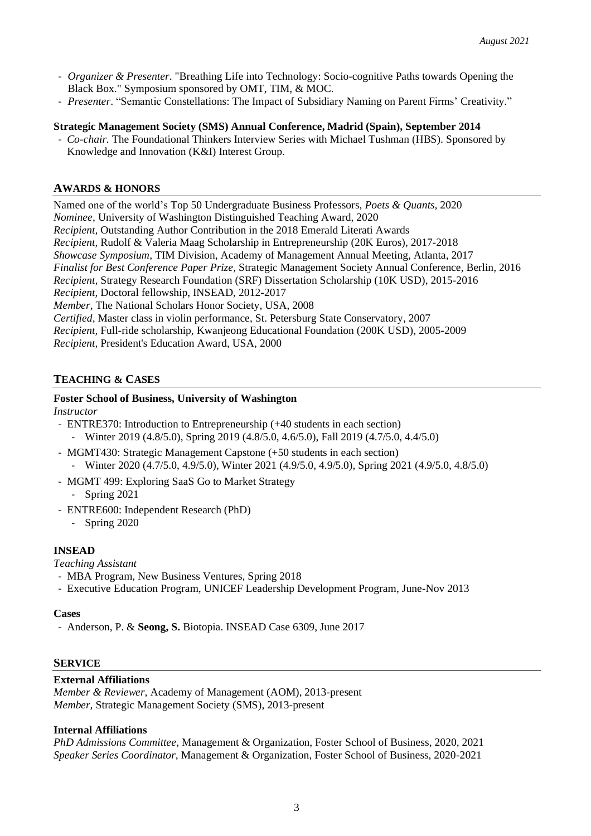- *Organizer & Presenter*. "Breathing Life into Technology: Socio-cognitive Paths towards Opening the Black Box." Symposium sponsored by OMT, TIM, & MOC.
- *Presenter*. "Semantic Constellations: The Impact of Subsidiary Naming on Parent Firms' Creativity."

## **Strategic Management Society (SMS) Annual Conference, Madrid (Spain), September 2014**

- *Co-chair.* The Foundational Thinkers Interview Series with Michael Tushman (HBS). Sponsored by Knowledge and Innovation (K&I) Interest Group.

# **AWARDS & HONORS**

Named one of the world's Top 50 Undergraduate Business Professors, *Poets & Quants,* 2020 *Nominee,* University of Washington Distinguished Teaching Award, 2020 *Recipient,* Outstanding Author Contribution in the 2018 Emerald Literati Awards *Recipient,* Rudolf & Valeria Maag Scholarship in Entrepreneurship (20K Euros), 2017-2018 *Showcase Symposium*, TIM Division, Academy of Management Annual Meeting, Atlanta, 2017 *Finalist for Best Conference Paper Prize*, Strategic Management Society Annual Conference, Berlin, 2016 *Recipient,* Strategy Research Foundation (SRF) Dissertation Scholarship (10K USD), 2015-2016 *Recipient,* Doctoral fellowship, INSEAD, 2012-2017 *Member,* The National Scholars Honor Society, USA, 2008 *Certified,* Master class in violin performance, St. Petersburg State Conservatory, 2007 *Recipient,* Full-ride scholarship, Kwanjeong Educational Foundation (200K USD), 2005-2009 *Recipient,* President's Education Award, USA, 2000

# **TEACHING & CASES**

## **Foster School of Business, University of Washington**

*Instructor*

- ENTRE370: Introduction to Entrepreneurship (+40 students in each section)
	- Winter 2019 (4.8/5.0), Spring 2019 (4.8/5.0, 4.6/5.0), Fall 2019 (4.7/5.0, 4.4/5.0)
- MGMT430: Strategic Management Capstone (+50 students in each section) - Winter 2020 (4.7/5.0, 4.9/5.0), Winter 2021 (4.9/5.0, 4.9/5.0), Spring 2021 (4.9/5.0, 4.8/5.0)
- MGMT 499: Exploring SaaS Go to Market Strategy
	- Spring 2021
- ENTRE600: Independent Research (PhD)
	- Spring 2020

# **INSEAD**

*Teaching Assistant* 

- MBA Program, New Business Ventures, Spring 2018
- Executive Education Program, UNICEF Leadership Development Program, June-Nov 2013

#### **Cases**

- Anderson, P. & **Seong, S.** Biotopia. INSEAD Case 6309, June 2017

# **SERVICE**

#### **External Affiliations**

*Member & Reviewer,* Academy of Management (AOM), 2013-present *Member,* Strategic Management Society (SMS), 2013-present

#### **Internal Affiliations**

*PhD Admissions Committee,* Management & Organization, Foster School of Business, 2020, 2021 *Speaker Series Coordinator,* Management & Organization, Foster School of Business, 2020-2021